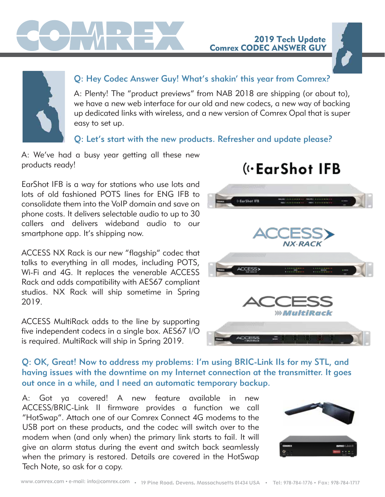

## Q: Hey Codec Answer Guy! What's shakin' this year from Comrex?

A: Plenty! The "product previews" from NAB 2018 are shipping (or about to), we have a new web interface for our old and new codecs, a new way of backing up dedicated links with wireless, and a new version of Comrex Opal that is super easy to set up.

#### Q: Let's start with the new products. Refresher and update please?

A: We've had a busy year getting all these new products ready!

EarShot IFB is a way for stations who use lots and lots of old fashioned POTS lines for ENG IFB to consolidate them into the VoIP domain and save on phone costs. It delivers selectable audio to up to 30 callers and delivers wideband audio to our smartphone app. It's shipping now.

ACCESS NX Rack is our new "flagship" codec that talks to everything in all modes, including POTS, Wi-Fi and 4G. It replaces the venerable ACCESS Rack and adds compatibility with AES67 compliant studios. NX Rack will ship sometime in Spring 2019.

ACCESS MultiRack adds to the line by supporting five independent codecs in a single box. AES67 I/O is required. MultiRack will ship in Spring 2019.

# («EarShot IFB

2019 Tech Update

Comrex CODEC ANSWER GUY



#### Q: OK, Great! Now to address my problems: I'm using BRIC-Link IIs for my STL, and having issues with the downtime on my Internet connection at the transmitter. It goes out once in a while, and I need an automatic temporary backup.

A: Got ya covered! A new feature available in new ACCESS/BRIC-Link II firmware provides a function we call "HotSwap". Attach one of our Comrex Connect 4G modems to the USB port on these products, and the codec will switch over to the modem when (and only when) the primary link starts to fail. It will give an alarm status during the event and switch back seamlessly when the primary is restored. Details are covered in the HotSwap Tech Note, so ask for a copy.